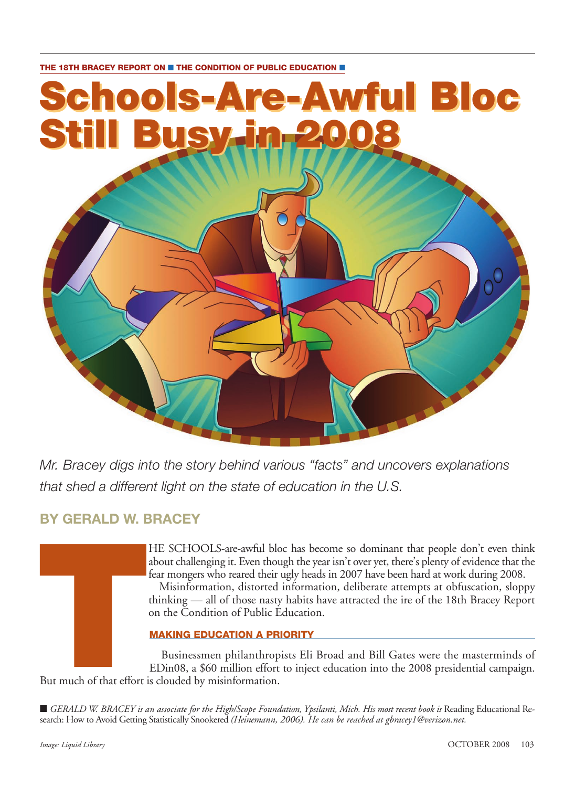**THE 18TH BRACEY REPORT ON ■ THE CONDITION OF PUBLIC EDUCATION ■**

# **Schools-Are-Awful Bloc Schools-Are-Awful Bloc Still Busy in 2008 Still Busy in 2008**

*Mr. Bracey digs into the story behind various "facts" and uncovers explanations that shed a different light on the state of education in the U.S.*

## **BY GERALD W. BRACEY**

HE SCHOOLS-are-awful bloc has become so dominant that people don't even think<br>about challenging it. Even though the year isn't over yet, there's plenty of evidence that the<br>fear mongers who reared their ugly heads in 2007 HE SCHOOLS-are-awful bloc has become so dominant that people don't even think about challenging it. Even though the year isn't over yet, there's plenty of evidence that the fear mongers who reared their ugly heads in 2007 have been hard at work during 2008. Misinformation, distorted information, deliberate attempts at obfuscation, sloppy thinking — all of those nasty habits have attracted the ire of the 18th Bracey Report on the Condition of Public Education.

#### **MAKING EDUCATION A PRIORITY**

Businessmen philanthropists Eli Broad and Bill Gates were the masterminds of But much of that effort is clouded by misinformation.

**■** *GERALD W. BRACEY is an associate for the High/Scope Foundation, Ypsilanti, Mich. His most recent book is* Reading Educational Research: How to Avoid Getting Statistically Snookered *(Heinemann, 2006). He can be reached at gbracey1@verizon.net.*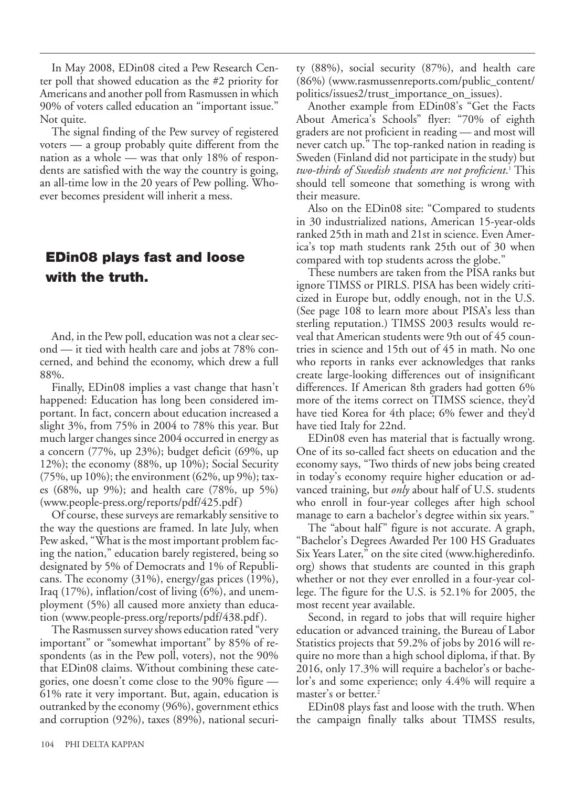In May 2008, EDin08 cited a Pew Research Center poll that showed education as the #2 priority for Americans and another poll from Rasmussen in which 90% of voters called education an "important issue." Not quite.

The signal finding of the Pew survey of registered voters — a group probably quite different from the nation as a whole — was that only 18% of respondents are satisfied with the way the country is going, an all-time low in the 20 years of Pew polling. Whoever becomes president will inherit a mess.

## **EDin08 plays fast and loose with the truth.**

And, in the Pew poll, education was not a clear second — it tied with health care and jobs at 78% concerned, and behind the economy, which drew a full 88%.

Finally, EDin08 implies a vast change that hasn't happened: Education has long been considered important. In fact, concern about education increased a slight 3%, from 75% in 2004 to 78% this year. But much larger changes since 2004 occurred in energy as a concern (77%, up 23%); budget deficit (69%, up 12%); the economy (88%, up 10%); Social Security (75%, up 10%); the environment (62%, up 9%); taxes (68%, up 9%); and health care (78%, up 5%) (www.people-press.org/reports/pdf/425.pdf )

Of course, these surveys are remarkably sensitive to the way the questions are framed. In late July, when Pew asked, "What is the most important problem facing the nation," education barely registered, being so designated by 5% of Democrats and 1% of Republicans. The economy (31%), energy/gas prices (19%), Iraq (17%), inflation/cost of living (6%), and unemployment (5%) all caused more anxiety than education (www.people-press.org/reports/pdf/438.pdf ).

The Rasmussen survey shows education rated "very important" or "somewhat important" by 85% of respondents (as in the Pew poll, voters), not the 90% that EDin08 claims. Without combining these categories, one doesn't come close to the 90% figure — 61% rate it very important. But, again, education is outranked by the economy (96%), government ethics and corruption (92%), taxes (89%), national security (88%), social security (87%), and health care (86%) (www.rasmussenreports.com/public\_content/ politics/issues2/trust\_importance\_on\_issues).

Another example from EDin08's "Get the Facts About America's Schools" flyer: "70% of eighth graders are not proficient in reading — and most will never catch up." The top-ranked nation in reading is Sweden (Finland did not participate in the study) but *two-thirds of Swedish students are not proficient*. <sup>1</sup> This should tell someone that something is wrong with their measure.

Also on the EDin08 site: "Compared to students in 30 industrialized nations, American 15-year-olds ranked 25th in math and 21st in science. Even America's top math students rank 25th out of 30 when compared with top students across the globe."

These numbers are taken from the PISA ranks but ignore TIMSS or PIRLS. PISA has been widely criticized in Europe but, oddly enough, not in the U.S. (See page 108 to learn more about PISA's less than sterling reputation.) TIMSS 2003 results would reveal that American students were 9th out of 45 countries in science and 15th out of 45 in math. No one who reports in ranks ever acknowledges that ranks create large-looking differences out of insignificant differences. If American 8th graders had gotten 6% more of the items correct on TIMSS science, they'd have tied Korea for 4th place; 6% fewer and they'd have tied Italy for 22nd.

EDin08 even has material that is factually wrong. One of its so-called fact sheets on education and the economy says, "Two thirds of new jobs being created in today's economy require higher education or advanced training, but *only* about half of U.S. students who enroll in four-year colleges after high school manage to earn a bachelor's degree within six years."

The "about half" figure is not accurate. A graph, "Bachelor's Degrees Awarded Per 100 HS Graduates Six Years Later," on the site cited (www.higheredinfo. org) shows that students are counted in this graph whether or not they ever enrolled in a four-year college. The figure for the U.S. is 52.1% for 2005, the most recent year available.

Second, in regard to jobs that will require higher education or advanced training, the Bureau of Labor Statistics projects that 59.2% of jobs by 2016 will require no more than a high school diploma, if that. By 2016, only 17.3% will require a bachelor's or bachelor's and some experience; only 4.4% will require a master's or better.<sup>2</sup>

EDin08 plays fast and loose with the truth. When the campaign finally talks about TIMSS results,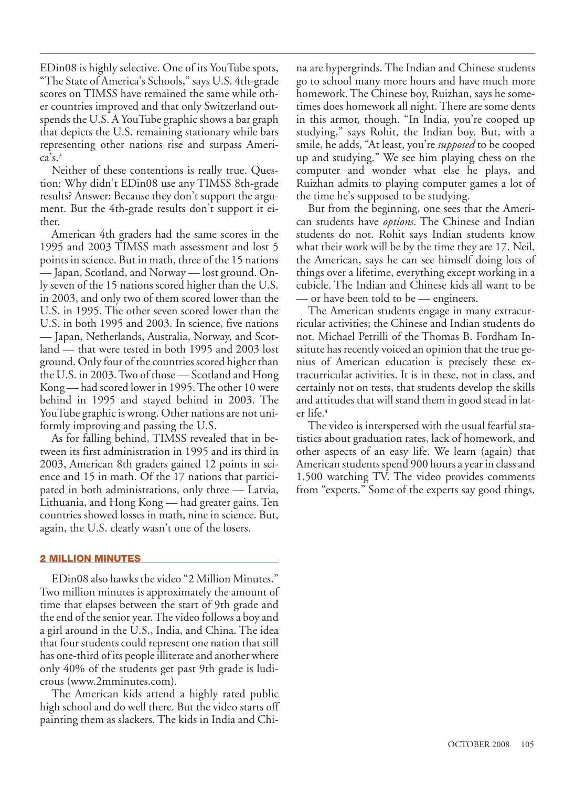EDin08 is highly selective. One of its YouTube spots, "The State of America's Schools," says U.S. 4th-grade scores on TIMSS have remained the same while other countries improved and that only Switzerland outspends the U.S. A YouTube graphic shows a bar graph that depicts the U.S. remaining stationary while bars representing other nations rise and surpass Ameri $ca's.<sup>3</sup>$ 

Neither of these contentions is really true. Question: Why didn't EDin08 use any TIMSS 8th-grade results? Answer: Because they don't support the argument. But the 4th-grade results don't support it either.

American 4th graders had the same scores in the 1995 and 2003 TIMSS math assessment and lost 5 points in science. But in math, three of the 15 nations — Japan, Scotland, and Norway — lost ground. Only seven of the 15 nations scored higher than the U.S. in 2003, and only two of them scored lower than the U.S. in 1995. The other seven scored lower than the U.S. in both 1995 and 2003. In science, five nations — Japan, Netherlands, Australia, Norway, and Scotland — that were tested in both 1995 and 2003 lost ground. Only four of the countries scored higher than the U.S. in 2003. Two of those — Scotland and Hong Kong — had scored lower in 1995. The other 10 were behind in 1995 and stayed behind in 2003. The YouTube graphic is wrong. Other nations are not uniformly improving and passing the U.S.

As for falling behind, TIMSS revealed that in between its first administration in 1995 and its third in 2003, American 8th graders gained 12 points in science and 15 in math. Of the 17 nations that participated in both administrations, only three — Latvia, Lithuania, and Hong Kong — had greater gains. Ten countries showed losses in math, nine in science. But, again, the U.S. clearly wasn't one of the losers.

#### **2 MILLION MINUTES**

EDin08 also hawks the video "2 Million Minutes." Two million minutes is approximately the amount of time that elapses between the start of 9th grade and the end of the senior year. The video follows a boy and a girl around in the U.S., India, and China. The idea that four students could represent one nation that still has one-third of its people illiterate and another where only 40% of the students get past 9th grade is ludicrous (www.2mminutes.com).

The American kids attend a highly rated public high school and do well there. But the video starts off painting them as slackers. The kids in India and China are hypergrinds. The Indian and Chinese students go to school many more hours and have much more homework. The Chinese boy, Ruizhan, says he sometimes does homework all night. There are some dents in this armor, though. "In India, you're cooped up studying," says Rohit, the Indian boy. But, with a smile, he adds, "At least, you're *supposed* to be cooped up and studying." We see him playing chess on the computer and wonder what else he plays, and Ruizhan admits to playing computer games a lot of the time he's supposed to be studying.

But from the beginning, one sees that the American students have *options*. The Chinese and Indian students do not. Rohit says Indian students know what their work will be by the time they are 17. Neil, the American, says he can see himself doing lots of things over a lifetime, everything except working in a cubicle. The Indian and Chinese kids all want to be — or have been told to be — engineers.

The American students engage in many extracurricular activities; the Chinese and Indian students do not. Michael Petrilli of the Thomas B. Fordham Institute has recently voiced an opinion that the true genius of American education is precisely these extracurricular activities. It is in these, not in class, and certainly not on tests, that students develop the skills and attitudes that will stand them in good stead in later life.<sup>4</sup>

The video is interspersed with the usual fearful statistics about graduation rates, lack of homework, and other aspects of an easy life. We learn (again) that American students spend 900 hours a year in class and 1,500 watching TV. The video provides comments from "experts." Some of the experts say good things,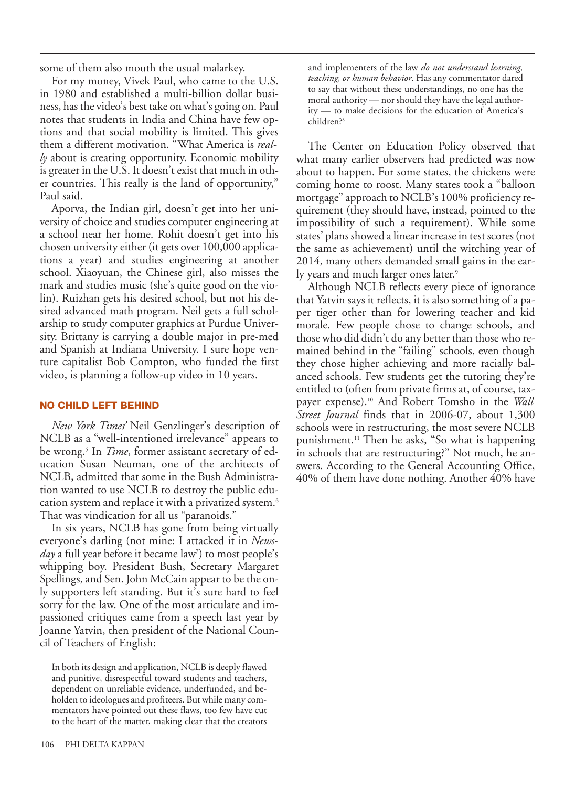some of them also mouth the usual malarkey.

For my money, Vivek Paul, who came to the U.S. in 1980 and established a multi-billion dollar business, has the video's best take on what's going on. Paul notes that students in India and China have few options and that social mobility is limited. This gives them a different motivation. "What America is *really* about is creating opportunity. Economic mobility is greater in the U.S. It doesn't exist that much in other countries. This really is the land of opportunity," Paul said.

Aporva, the Indian girl, doesn't get into her university of choice and studies computer engineering at a school near her home. Rohit doesn't get into his chosen university either (it gets over 100,000 applications a year) and studies engineering at another school. Xiaoyuan, the Chinese girl, also misses the mark and studies music (she's quite good on the violin). Ruizhan gets his desired school, but not his desired advanced math program. Neil gets a full scholarship to study computer graphics at Purdue University. Brittany is carrying a double major in pre-med and Spanish at Indiana University. I sure hope venture capitalist Bob Compton, who funded the first video, is planning a follow-up video in 10 years.

#### **NO CHILD LEFT BEHIND**

*New York Times'* Neil Genzlinger's description of NCLB as a "well-intentioned irrelevance" appears to be wrong.5 In *Time*, former assistant secretary of education Susan Neuman, one of the architects of NCLB, admitted that some in the Bush Administration wanted to use NCLB to destroy the public education system and replace it with a privatized system.<sup>6</sup> That was vindication for all us "paranoids."

In six years, NCLB has gone from being virtually everyone's darling (not mine: I attacked it in *Newsday* a full year before it became law<sup>7</sup>) to most people's whipping boy. President Bush, Secretary Margaret Spellings, and Sen. John McCain appear to be the only supporters left standing. But it's sure hard to feel sorry for the law. One of the most articulate and impassioned critiques came from a speech last year by Joanne Yatvin, then president of the National Council of Teachers of English:

In both its design and application, NCLB is deeply flawed and punitive, disrespectful toward students and teachers, dependent on unreliable evidence, underfunded, and beholden to ideologues and profiteers. But while many commentators have pointed out these flaws, too few have cut to the heart of the matter, making clear that the creators and implementers of the law *do not understand learning, teaching, or human behavior*. Has any commentator dared to say that without these understandings, no one has the moral authority — nor should they have the legal authority — to make decisions for the education of America's children?<sup>8</sup>

The Center on Education Policy observed that what many earlier observers had predicted was now about to happen. For some states, the chickens were coming home to roost. Many states took a "balloon mortgage" approach to NCLB's 100% proficiency requirement (they should have, instead, pointed to the impossibility of such a requirement). While some states' plans showed a linear increase in test scores (not the same as achievement) until the witching year of 2014, many others demanded small gains in the early years and much larger ones later.<sup>9</sup>

Although NCLB reflects every piece of ignorance that Yatvin says it reflects, it is also something of a paper tiger other than for lowering teacher and kid morale. Few people chose to change schools, and those who did didn't do any better than those who remained behind in the "failing" schools, even though they chose higher achieving and more racially balanced schools. Few students get the tutoring they're entitled to (often from private firms at, of course, taxpayer expense).<sup>10</sup> And Robert Tomsho in the *Wall Street Journal* finds that in 2006-07, about 1,300 schools were in restructuring, the most severe NCLB punishment.11 Then he asks, "So what is happening in schools that are restructuring?" Not much, he answers. According to the General Accounting Office, 40% of them have done nothing. Another 40% have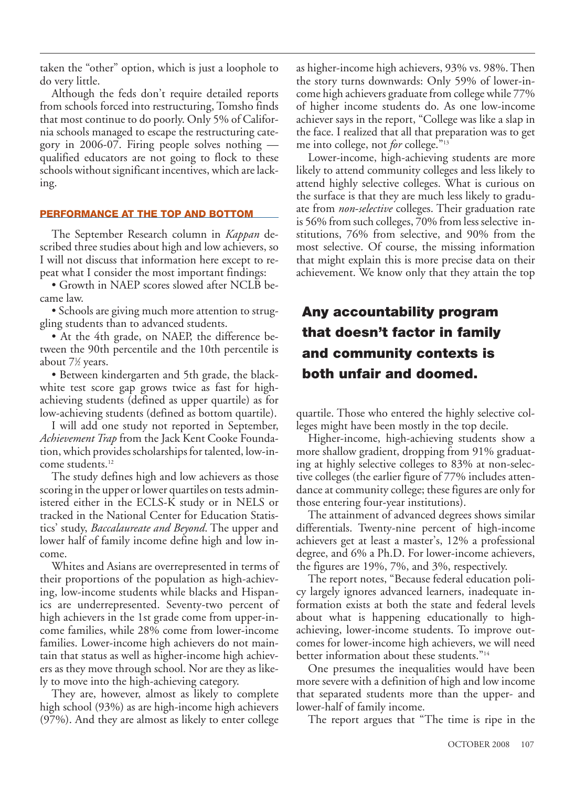taken the "other" option, which is just a loophole to do very little.

Although the feds don't require detailed reports from schools forced into restructuring, Tomsho finds that most continue to do poorly. Only 5% of California schools managed to escape the restructuring category in 2006-07. Firing people solves nothing qualified educators are not going to flock to these schools without significant incentives, which are lacking.

#### **PERFORMANCE AT THE TOP AND BOTTOM**

The September Research column in *Kappan* described three studies about high and low achievers, so I will not discuss that information here except to repeat what I consider the most important findings:

• Growth in NAEP scores slowed after NCLB became law.

• Schools are giving much more attention to struggling students than to advanced students.

• At the 4th grade, on NAEP, the difference between the 90th percentile and the 10th percentile is about 71 ⁄2 years.

• Between kindergarten and 5th grade, the blackwhite test score gap grows twice as fast for highachieving students (defined as upper quartile) as for low-achieving students (defined as bottom quartile).

I will add one study not reported in September, *Achievement Trap* from the Jack Kent Cooke Foundation, which provides scholarships for talented, low-income students.<sup>12</sup>

The study defines high and low achievers as those scoring in the upper or lower quartiles on tests administered either in the ECLS-K study or in NELS or tracked in the National Center for Education Statistics' study, *Baccalaureate and Beyond*. The upper and lower half of family income define high and low income.

Whites and Asians are overrepresented in terms of their proportions of the population as high-achieving, low-income students while blacks and Hispanics are underrepresented. Seventy-two percent of high achievers in the 1st grade come from upper-income families, while 28% come from lower-income families. Lower-income high achievers do not maintain that status as well as higher-income high achievers as they move through school. Nor are they as likely to move into the high-achieving category.

They are, however, almost as likely to complete high school (93%) as are high-income high achievers (97%). And they are almost as likely to enter college as higher-income high achievers, 93% vs. 98%. Then the story turns downwards: Only 59% of lower-income high achievers graduate from college while 77% of higher income students do. As one low-income achiever says in the report, "College was like a slap in the face. I realized that all that preparation was to get me into college, not *for* college."13

Lower-income, high-achieving students are more likely to attend community colleges and less likely to attend highly selective colleges. What is curious on the surface is that they are much less likely to graduate from *non*-*selective* colleges. Their graduation rate is 56% from such colleges, 70% from less selective institutions, 76% from selective, and 90% from the most selective. Of course, the missing information that might explain this is more precise data on their achievement. We know only that they attain the top

# **Any accountability program that doesn't factor in family and community contexts is both unfair and doomed.**

quartile. Those who entered the highly selective colleges might have been mostly in the top decile.

Higher-income, high-achieving students show a more shallow gradient, dropping from 91% graduating at highly selective colleges to 83% at non-selective colleges (the earlier figure of 77% includes attendance at community college; these figures are only for those entering four-year institutions).

The attainment of advanced degrees shows similar differentials. Twenty-nine percent of high-income achievers get at least a master's, 12% a professional degree, and 6% a Ph.D. For lower-income achievers, the figures are 19%, 7%, and 3%, respectively.

The report notes, "Because federal education policy largely ignores advanced learners, inadequate information exists at both the state and federal levels about what is happening educationally to highachieving, lower-income students. To improve outcomes for lower-income high achievers, we will need better information about these students."<sup>14</sup>

One presumes the inequalities would have been more severe with a definition of high and low income that separated students more than the upper- and lower-half of family income.

The report argues that "The time is ripe in the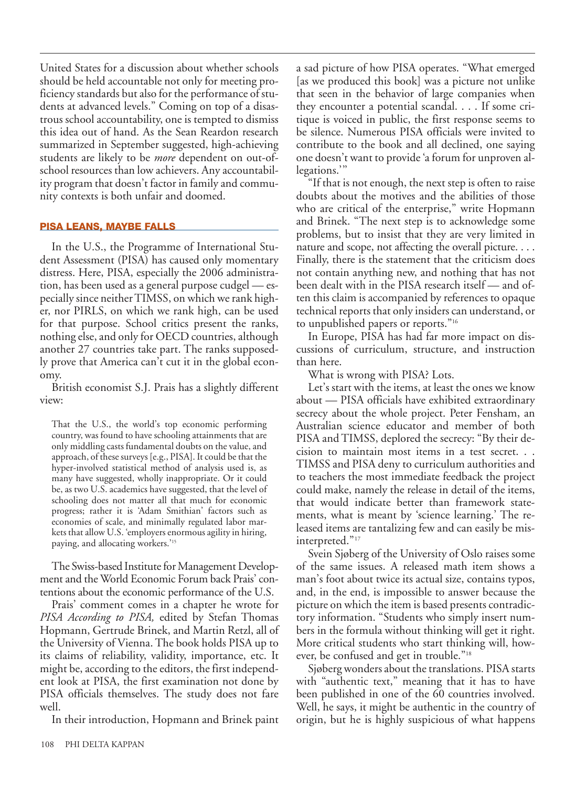United States for a discussion about whether schools should be held accountable not only for meeting proficiency standards but also for the performance of students at advanced levels." Coming on top of a disastrous school accountability, one is tempted to dismiss this idea out of hand. As the Sean Reardon research summarized in September suggested, high-achieving students are likely to be *more* dependent on out-ofschool resources than low achievers. Any accountability program that doesn't factor in family and community contexts is both unfair and doomed.

#### **PISA LEANS, MAYBE FALLS**

In the U.S., the Programme of International Student Assessment (PISA) has caused only momentary distress. Here, PISA, especially the 2006 administration, has been used as a general purpose cudgel — especially since neither TIMSS, on which we rank higher, nor PIRLS, on which we rank high, can be used for that purpose. School critics present the ranks, nothing else, and only for OECD countries, although another 27 countries take part. The ranks supposedly prove that America can't cut it in the global economy.

British economist S.J. Prais has a slightly different view:

That the U.S., the world's top economic performing country, was found to have schooling attainments that are only middling casts fundamental doubts on the value, and approach, of these surveys [e.g., PISA]. It could be that the hyper-involved statistical method of analysis used is, as many have suggested, wholly inappropriate. Or it could be, as two U.S. academics have suggested, that the level of schooling does not matter all that much for economic progress; rather it is 'Adam Smithian' factors such as economies of scale, and minimally regulated labor markets that allow U.S. 'employers enormous agility in hiring, paying, and allocating workers.'15

The Swiss-based Institute for Management Development and the World Economic Forum back Prais' contentions about the economic performance of the U.S.

Prais' comment comes in a chapter he wrote for *PISA According to PISA,* edited by Stefan Thomas Hopmann, Gertrude Brinek, and Martin Retzl, all of the University of Vienna. The book holds PISA up to its claims of reliability, validity, importance, etc. It might be, according to the editors, the first independent look at PISA, the first examination not done by PISA officials themselves. The study does not fare well.

In their introduction, Hopmann and Brinek paint

a sad picture of how PISA operates. "What emerged [as we produced this book] was a picture not unlike that seen in the behavior of large companies when they encounter a potential scandal. . . . If some critique is voiced in public, the first response seems to be silence. Numerous PISA officials were invited to contribute to the book and all declined, one saying one doesn't want to provide 'a forum for unproven allegations.'''

"If that is not enough, the next step is often to raise doubts about the motives and the abilities of those who are critical of the enterprise," write Hopmann and Brinek. "The next step is to acknowledge some problems, but to insist that they are very limited in nature and scope, not affecting the overall picture. . . . Finally, there is the statement that the criticism does not contain anything new, and nothing that has not been dealt with in the PISA research itself — and often this claim is accompanied by references to opaque technical reports that only insiders can understand, or to unpublished papers or reports."<sup>16</sup>

In Europe, PISA has had far more impact on discussions of curriculum, structure, and instruction than here.

What is wrong with PISA? Lots.

Let's start with the items, at least the ones we know about — PISA officials have exhibited extraordinary secrecy about the whole project. Peter Fensham, an Australian science educator and member of both PISA and TIMSS, deplored the secrecy: "By their decision to maintain most items in a test secret. . . TIMSS and PISA deny to curriculum authorities and to teachers the most immediate feedback the project could make, namely the release in detail of the items, that would indicate better than framework statements, what is meant by 'science learning.' The released items are tantalizing few and can easily be misinterpreted."17

Svein Sjøberg of the University of Oslo raises some of the same issues. A released math item shows a man's foot about twice its actual size, contains typos, and, in the end, is impossible to answer because the picture on which the item is based presents contradictory information. "Students who simply insert numbers in the formula without thinking will get it right. More critical students who start thinking will, however, be confused and get in trouble."18

Sjøberg wonders about the translations. PISA starts with "authentic text," meaning that it has to have been published in one of the 60 countries involved. Well, he says, it might be authentic in the country of origin, but he is highly suspicious of what happens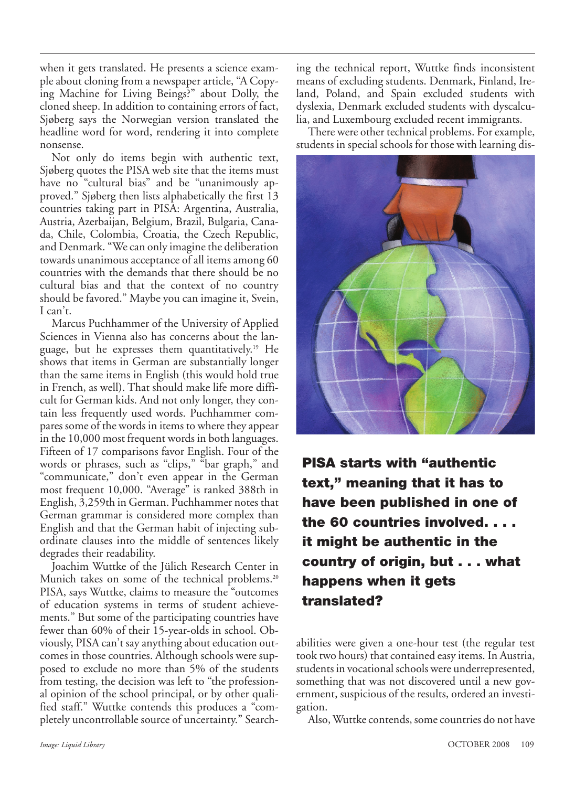when it gets translated. He presents a science example about cloning from a newspaper article, "A Copying Machine for Living Beings?" about Dolly, the cloned sheep. In addition to containing errors of fact, Sjøberg says the Norwegian version translated the headline word for word, rendering it into complete nonsense.

Not only do items begin with authentic text, Sjøberg quotes the PISA web site that the items must have no "cultural bias" and be "unanimously approved." Sjøberg then lists alphabetically the first 13 countries taking part in PISA: Argentina, Australia, Austria, Azerbaijan, Belgium, Brazil, Bulgaria, Canada, Chile, Colombia, Croatia, the Czech Republic, and Denmark. "We can only imagine the deliberation towards unanimous acceptance of all items among 60 countries with the demands that there should be no cultural bias and that the context of no country should be favored." Maybe you can imagine it, Svein, I can't.

Marcus Puchhammer of the University of Applied Sciences in Vienna also has concerns about the language, but he expresses them quantitatively.19 He shows that items in German are substantially longer than the same items in English (this would hold true in French, as well). That should make life more difficult for German kids. And not only longer, they contain less frequently used words. Puchhammer compares some of the words in items to where they appear in the 10,000 most frequent words in both languages. Fifteen of 17 comparisons favor English. Four of the words or phrases, such as "clips," "bar graph," and "communicate," don't even appear in the German most frequent 10,000. "Average" is ranked 388th in English, 3,259th in German. Puchhammer notes that German grammar is considered more complex than English and that the German habit of injecting subordinate clauses into the middle of sentences likely degrades their readability.

Joachim Wuttke of the Jülich Research Center in Munich takes on some of the technical problems.<sup>20</sup> PISA, says Wuttke, claims to measure the "outcomes of education systems in terms of student achievements." But some of the participating countries have fewer than 60% of their 15-year-olds in school. Obviously, PISA can't say anything about education outcomes in those countries. Although schools were supposed to exclude no more than 5% of the students from testing, the decision was left to "the professional opinion of the school principal, or by other qualified staff." Wuttke contends this produces a "completely uncontrollable source of uncertainty." Searching the technical report, Wuttke finds inconsistent means of excluding students. Denmark, Finland, Ireland, Poland, and Spain excluded students with dyslexia, Denmark excluded students with dyscalculia, and Luxembourg excluded recent immigrants.

There were other technical problems. For example, students in special schools for those with learning dis-



**PISA starts with "authentic text," meaning that it has to have been published in one of the 60 countries involved. . . . it might be authentic in the country of origin, but . . . what happens when it gets translated?**

abilities were given a one-hour test (the regular test took two hours) that contained easy items. In Austria, students in vocational schools were underrepresented, something that was not discovered until a new government, suspicious of the results, ordered an investigation.

Also, Wuttke contends, some countries do not have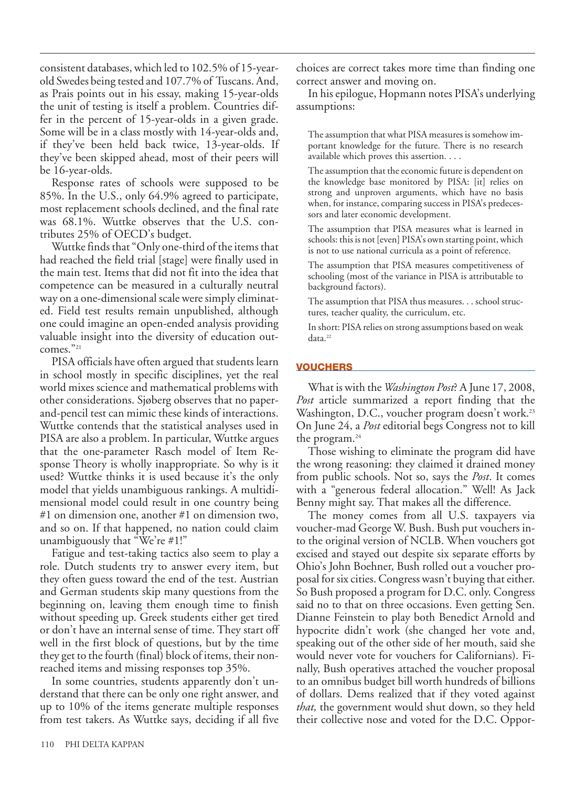consistent databases, which led to 102.5% of 15-yearold Swedes being tested and 107.7% of Tuscans. And, as Prais points out in his essay, making 15-year-olds the unit of testing is itself a problem. Countries differ in the percent of 15-year-olds in a given grade. Some will be in a class mostly with 14-year-olds and, if they've been held back twice, 13-year-olds. If they've been skipped ahead, most of their peers will be 16-year-olds.

Response rates of schools were supposed to be 85%. In the U.S., only 64.9% agreed to participate, most replacement schools declined, and the final rate was 68.1%. Wuttke observes that the U.S. contributes 25% of OECD's budget.

Wuttke finds that "Only one-third of the items that had reached the field trial [stage] were finally used in the main test. Items that did not fit into the idea that competence can be measured in a culturally neutral way on a one-dimensional scale were simply eliminated. Field test results remain unpublished, although one could imagine an open-ended analysis providing valuable insight into the diversity of education outcomes."21

PISA officials have often argued that students learn in school mostly in specific disciplines, yet the real world mixes science and mathematical problems with other considerations. Sjøberg observes that no paperand-pencil test can mimic these kinds of interactions. Wuttke contends that the statistical analyses used in PISA are also a problem. In particular, Wuttke argues that the one-parameter Rasch model of Item Response Theory is wholly inappropriate. So why is it used? Wuttke thinks it is used because it's the only model that yields unambiguous rankings. A multidimensional model could result in one country being #1 on dimension one, another #1 on dimension two, and so on. If that happened, no nation could claim unambiguously that "We're #1!"

Fatigue and test-taking tactics also seem to play a role. Dutch students try to answer every item, but they often guess toward the end of the test. Austrian and German students skip many questions from the beginning on, leaving them enough time to finish without speeding up. Greek students either get tired or don't have an internal sense of time. They start off well in the first block of questions, but by the time they get to the fourth (final) block of items, their nonreached items and missing responses top 35%.

In some countries, students apparently don't understand that there can be only one right answer, and up to 10% of the items generate multiple responses from test takers. As Wuttke says, deciding if all five choices are correct takes more time than finding one correct answer and moving on.

In his epilogue, Hopmann notes PISA's underlying assumptions:

The assumption that what PISA measures is somehow important knowledge for the future. There is no research available which proves this assertion. . . .

The assumption that the economic future is dependent on the knowledge base monitored by PISA: [it] relies on strong and unproven arguments, which have no basis when, for instance, comparing success in PISA's predecessors and later economic development.

The assumption that PISA measures what is learned in schools: this is not [even] PISA's own starting point, which is not to use national curricula as a point of reference.

The assumption that PISA measures competitiveness of schooling (most of the variance in PISA is attributable to background factors).

The assumption that PISA thus measures. . . school structures, teacher quality, the curriculum, etc.

In short: PISA relies on strong assumptions based on weak data.<sup>22</sup>

#### **VOUCHERS**

What is with the *Washington Post*? A June 17, 2008, *Post* article summarized a report finding that the Washington, D.C., voucher program doesn't work.<sup>23</sup> On June 24, a *Post* editorial begs Congress not to kill the program. $24$ 

Those wishing to eliminate the program did have the wrong reasoning: they claimed it drained money from public schools. Not so, says the *Post*. It comes with a "generous federal allocation." Well! As Jack Benny might say. That makes all the difference.

The money comes from all U.S. taxpayers via voucher-mad George W. Bush. Bush put vouchers into the original version of NCLB. When vouchers got excised and stayed out despite six separate efforts by Ohio's John Boehner, Bush rolled out a voucher proposal for six cities. Congress wasn't buying that either. So Bush proposed a program for D.C. only. Congress said no to that on three occasions. Even getting Sen. Dianne Feinstein to play both Benedict Arnold and hypocrite didn't work (she changed her vote and, speaking out of the other side of her mouth, said she would never vote for vouchers for Californians). Finally, Bush operatives attached the voucher proposal to an omnibus budget bill worth hundreds of billions of dollars. Dems realized that if they voted against *that,* the government would shut down, so they held their collective nose and voted for the D.C. Oppor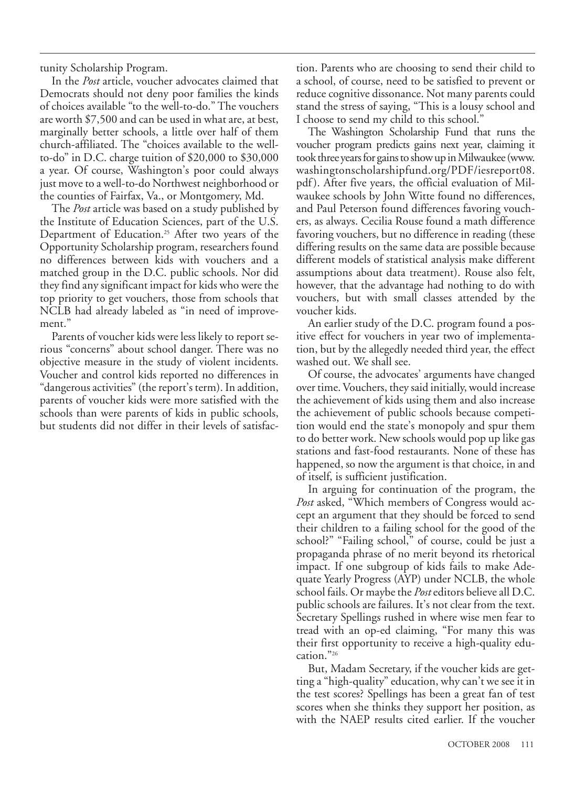tunity Scholarship Program.

In the *Post* article, voucher advocates claimed that Democrats should not deny poor families the kinds of choices available "to the well-to-do." The vouchers are worth \$7,500 and can be used in what are, at best, marginally better schools, a little over half of them church-affiliated. The "choices available to the wellto-do" in D.C. charge tuition of \$20,000 to \$30,000 a year. Of course, Washington's poor could always just move to a well-to-do Northwest neighborhood or the counties of Fairfax, Va., or Montgomery, Md.

The *Post* article was based on a study published by the Institute of Education Sciences, part of the U.S. Department of Education.<sup>25</sup> After two years of the Opportunity Scholarship program, researchers found no differences between kids with vouchers and a matched group in the D.C. public schools. Nor did they find any significant impact for kids who were the top priority to get vouchers, those from schools that NCLB had already labeled as "in need of improvement."

Parents of voucher kids were less likely to report serious "concerns" about school danger. There was no objective measure in the study of violent incidents. Voucher and control kids reported no differences in "dangerous activities" (the report's term). In addition, parents of voucher kids were more satisfied with the schools than were parents of kids in public schools, but students did not differ in their levels of satisfaction. Parents who are choosing to send their child to a school, of course, need to be satisfied to prevent or reduce cognitive dissonance. Not many parents could stand the stress of saying, "This is a lousy school and I choose to send my child to this school."

The Washington Scholarship Fund that runs the voucher program predicts gains next year, claiming it took three years for gains to show up in Milwaukee (www. washingtonscholarshipfund.org/PDF/iesreport08. pdf ). After five years, the official evaluation of Milwaukee schools by John Witte found no differences, and Paul Peterson found differences favoring vouchers, as always. Cecilia Rouse found a math difference favoring vouchers, but no difference in reading (these differing results on the same data are possible because different models of statistical analysis make different assumptions about data treatment). Rouse also felt, however, that the advantage had nothing to do with vouchers, but with small classes attended by the voucher kids.

An earlier study of the D.C. program found a positive effect for vouchers in year two of implementation, but by the allegedly needed third year, the effect washed out. We shall see.

Of course, the advocates' arguments have changed over time. Vouchers, they said initially, would increase the achievement of kids using them and also increase the achievement of public schools because competition would end the state's monopoly and spur them to do better work. New schools would pop up like gas stations and fast-food restaurants. None of these has happened, so now the argument is that choice, in and of itself, is sufficient justification.

In arguing for continuation of the program, the *Post* asked, "Which members of Congress would accept an argument that they should be forced to send their children to a failing school for the good of the school?" "Failing school," of course, could be just a propaganda phrase of no merit beyond its rhetorical impact. If one subgroup of kids fails to make Adequate Yearly Progress (AYP) under NCLB, the whole school fails. Or maybe the *Post*editors believe all D.C. public schools are failures. It's not clear from the text. Secretary Spellings rushed in where wise men fear to tread with an op-ed claiming, "For many this was their first opportunity to receive a high-quality education."26

But, Madam Secretary, if the voucher kids are getting a "high-quality" education, why can't we see it in the test scores? Spellings has been a great fan of test scores when she thinks they support her position, as with the NAEP results cited earlier. If the voucher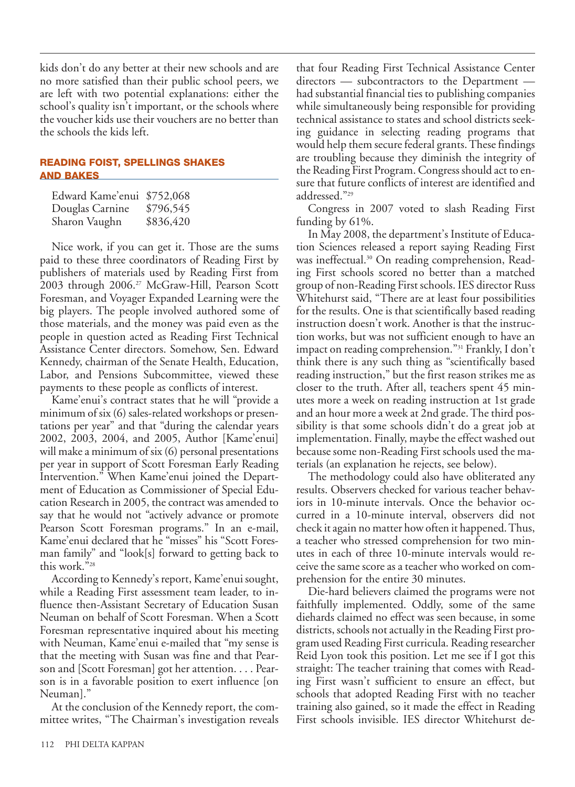kids don't do any better at their new schools and are no more satisfied than their public school peers, we are left with two potential explanations: either the school's quality isn't important, or the schools where the voucher kids use their vouchers are no better than the schools the kids left.

#### **READING FOIST, SPELLINGS SHAKES AND BAKES**

| Edward Kame'enui \$752,068 |           |
|----------------------------|-----------|
| Douglas Carnine            | \$796,545 |
| Sharon Vaughn              | \$836,420 |

Nice work, if you can get it. Those are the sums paid to these three coordinators of Reading First by publishers of materials used by Reading First from 2003 through 2006.<sup>27</sup> McGraw-Hill, Pearson Scott Foresman, and Voyager Expanded Learning were the big players. The people involved authored some of those materials, and the money was paid even as the people in question acted as Reading First Technical Assistance Center directors. Somehow, Sen. Edward Kennedy, chairman of the Senate Health, Education, Labor, and Pensions Subcommittee, viewed these payments to these people as conflicts of interest.

Kame'enui's contract states that he will "provide a minimum of six (6) sales-related workshops or presentations per year" and that "during the calendar years 2002, 2003, 2004, and 2005, Author [Kame'enui] will make a minimum of six (6) personal presentations per year in support of Scott Foresman Early Reading Intervention." When Kame'enui joined the Department of Education as Commissioner of Special Education Research in 2005, the contract was amended to say that he would not "actively advance or promote Pearson Scott Foresman programs." In an e-mail, Kame'enui declared that he "misses" his "Scott Foresman family" and "look[s] forward to getting back to this work."<sup>28</sup>

According to Kennedy's report, Kame'enui sought, while a Reading First assessment team leader, to influence then-Assistant Secretary of Education Susan Neuman on behalf of Scott Foresman. When a Scott Foresman representative inquired about his meeting with Neuman, Kame'enui e-mailed that "my sense is that the meeting with Susan was fine and that Pearson and [Scott Foresman] got her attention. . . . Pearson is in a favorable position to exert influence [on Neuman]."

At the conclusion of the Kennedy report, the committee writes, "The Chairman's investigation reveals that four Reading First Technical Assistance Center directors — subcontractors to the Department had substantial financial ties to publishing companies while simultaneously being responsible for providing technical assistance to states and school districts seeking guidance in selecting reading programs that would help them secure federal grants. These findings are troubling because they diminish the integrity of the Reading First Program. Congress should act to ensure that future conflicts of interest are identified and addressed."29

Congress in 2007 voted to slash Reading First funding by 61%.

In May 2008, the department's Institute of Education Sciences released a report saying Reading First was ineffectual.<sup>30</sup> On reading comprehension, Reading First schools scored no better than a matched group of non-Reading First schools. IES director Russ Whitehurst said, "There are at least four possibilities for the results. One is that scientifically based reading instruction doesn't work. Another is that the instruction works, but was not sufficient enough to have an impact on reading comprehension."31 Frankly, I don't think there is any such thing as "scientifically based reading instruction," but the first reason strikes me as closer to the truth. After all, teachers spent 45 minutes more a week on reading instruction at 1st grade and an hour more a week at 2nd grade. The third possibility is that some schools didn't do a great job at implementation. Finally, maybe the effect washed out because some non-Reading First schools used the materials (an explanation he rejects, see below).

The methodology could also have obliterated any results. Observers checked for various teacher behaviors in 10-minute intervals. Once the behavior occurred in a 10-minute interval, observers did not check it again no matter how often it happened. Thus, a teacher who stressed comprehension for two minutes in each of three 10-minute intervals would receive the same score as a teacher who worked on comprehension for the entire 30 minutes.

Die-hard believers claimed the programs were not faithfully implemented. Oddly, some of the same diehards claimed no effect was seen because, in some districts, schools not actually in the Reading First program used Reading First curricula. Reading researcher Reid Lyon took this position. Let me see if I got this straight: The teacher training that comes with Reading First wasn't sufficient to ensure an effect, but schools that adopted Reading First with no teacher training also gained, so it made the effect in Reading First schools invisible. IES director Whitehurst de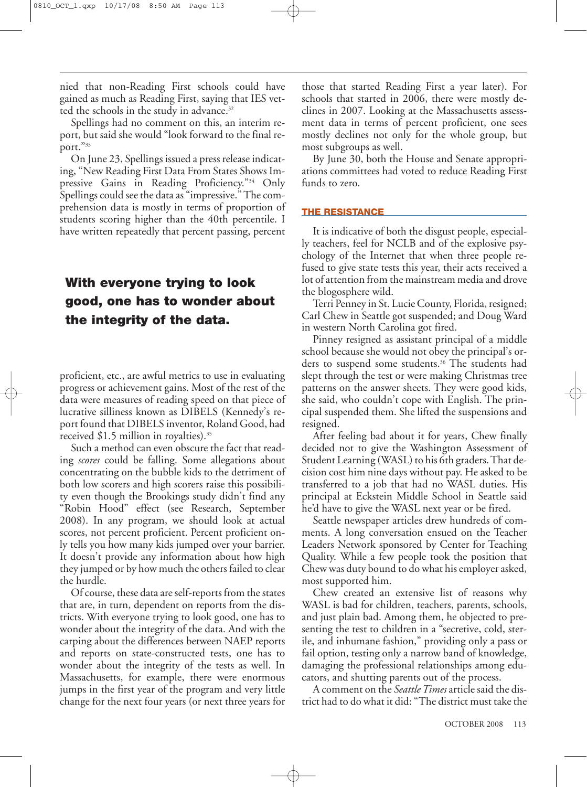nied that non-Reading First schools could have gained as much as Reading First, saying that IES vetted the schools in the study in advance.<sup>32</sup>

Spellings had no comment on this, an interim report, but said she would "look forward to the final report."33

On June 23, Spellings issued a press release indicating, "New Reading First Data From States Shows Impressive Gains in Reading Proficiency."34 Only Spellings could see the data as "impressive." The comprehension data is mostly in terms of proportion of students scoring higher than the 40th percentile. I have written repeatedly that percent passing, percent

## **With everyone trying to look good, one has to wonder about the integrity of the data.**

proficient, etc., are awful metrics to use in evaluating progress or achievement gains. Most of the rest of the data were measures of reading speed on that piece of lucrative silliness known as DIBELS (Kennedy's report found that DIBELS inventor, Roland Good, had received \$1.5 million in royalties).35

Such a method can even obscure the fact that reading *scores* could be falling. Some allegations about concentrating on the bubble kids to the detriment of both low scorers and high scorers raise this possibility even though the Brookings study didn't find any "Robin Hood" effect (see Research, September 2008). In any program, we should look at actual scores, not percent proficient. Percent proficient only tells you how many kids jumped over your barrier. It doesn't provide any information about how high they jumped or by how much the others failed to clear the hurdle.

Of course, these data are self-reports from the states that are, in turn, dependent on reports from the districts. With everyone trying to look good, one has to wonder about the integrity of the data. And with the carping about the differences between NAEP reports and reports on state-constructed tests, one has to wonder about the integrity of the tests as well. In Massachusetts, for example, there were enormous jumps in the first year of the program and very little change for the next four years (or next three years for those that started Reading First a year later). For schools that started in 2006, there were mostly declines in 2007. Looking at the Massachusetts assessment data in terms of percent proficient, one sees mostly declines not only for the whole group, but most subgroups as well.

By June 30, both the House and Senate appropriations committees had voted to reduce Reading First funds to zero.

#### **THE RESISTANCE**

It is indicative of both the disgust people, especially teachers, feel for NCLB and of the explosive psychology of the Internet that when three people refused to give state tests this year, their acts received a lot of attention from the mainstream media and drove the blogosphere wild.

Terri Penney in St. Lucie County, Florida, resigned; Carl Chew in Seattle got suspended; and Doug Ward in western North Carolina got fired.

Pinney resigned as assistant principal of a middle school because she would not obey the principal's orders to suspend some students.<sup>36</sup> The students had slept through the test or were making Christmas tree patterns on the answer sheets. They were good kids, she said, who couldn't cope with English. The principal suspended them. She lifted the suspensions and resigned.

After feeling bad about it for years, Chew finally decided not to give the Washington Assessment of Student Learning (WASL) to his 6th graders. That decision cost him nine days without pay. He asked to be transferred to a job that had no WASL duties. His principal at Eckstein Middle School in Seattle said he'd have to give the WASL next year or be fired.

Seattle newspaper articles drew hundreds of comments. A long conversation ensued on the Teacher Leaders Network sponsored by Center for Teaching Quality. While a few people took the position that Chew was duty bound to do what his employer asked, most supported him.

Chew created an extensive list of reasons why WASL is bad for children, teachers, parents, schools, and just plain bad. Among them, he objected to presenting the test to children in a "secretive, cold, sterile, and inhumane fashion," providing only a pass or fail option, testing only a narrow band of knowledge, damaging the professional relationships among educators, and shutting parents out of the process.

A comment on the *Seattle Times* article said the district had to do what it did: "The district must take the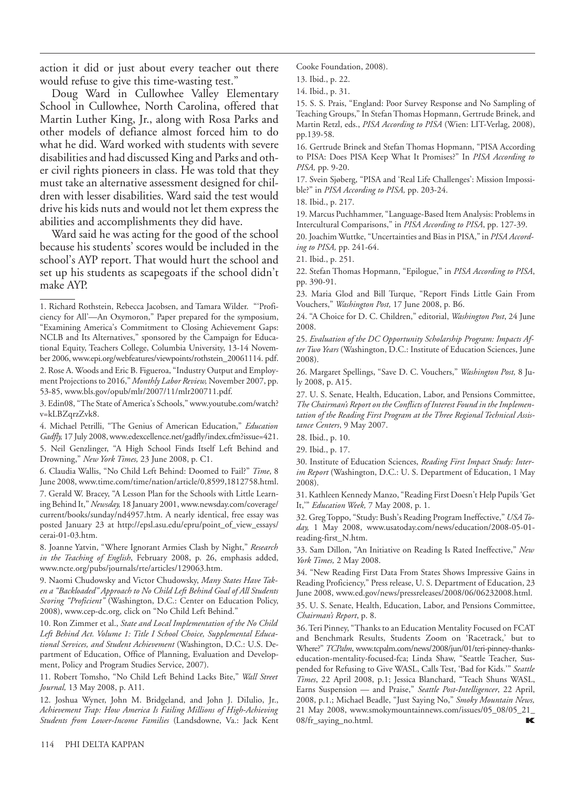action it did or just about every teacher out there would refuse to give this time-wasting test."

Doug Ward in Cullowhee Valley Elementary School in Cullowhee, North Carolina, offered that Martin Luther King, Jr., along with Rosa Parks and other models of defiance almost forced him to do what he did. Ward worked with students with severe disabilities and had discussed King and Parks and other civil rights pioneers in class. He was told that they must take an alternative assessment designed for children with lesser disabilities. Ward said the test would drive his kids nuts and would not let them express the abilities and accomplishments they did have.

Ward said he was acting for the good of the school because his students' scores would be included in the school's AYP report. That would hurt the school and set up his students as scapegoats if the school didn't make AYP.

ment Projections to 2016," *Monthly Labor Review,* November 2007, pp. 53-85, www.bls.gov/opub/mlr/2007/11/mlr200711.pdf.

3. Edin08, "The State of America's Schools," www.youtube.com/watch? v=kLBZqrzZvk8.

5. Neil Genzlinger, "A High School Finds Itself Left Behind and Drowning," *New York Times,* 23 June 2008, p. C1.

6. Claudia Wallis, "No Child Left Behind: Doomed to Fail?" *Time*, 8 June 2008, www.time.com/time/nation/article/0,8599,1812758.html.

7. Gerald W. Bracey, "A Lesson Plan for the Schools with Little Learning Behind It," *Newsday,* 18 January 2001, www.newsday.com/coverage/ current/books/sunday/nd4957.htm. A nearly identical, free essay was posted January 23 at http://epsl.asu.edu/epru/point\_of\_view\_essays/ cerai-01-03.htm.

8. Joanne Yatvin, "Where Ignorant Armies Clash by Night," *Research in the Teaching of English*, February 2008, p. 26, emphasis added, www.ncte.org/pubs/journals/rte/articles/129063.htm.

9. Naomi Chudowsky and Victor Chudowsky, *Many States Have Taken a "Backloaded" Approach to No Child Left Behind Goal of All Students Scoring "Proficient"* (Washington, D.C.: Center on Education Policy, 2008), www.cep-dc.org, click on "No Child Left Behind."

10. Ron Zimmer et al., *State and Local Implementation of the No Child Left Behind Act. Volume 1: Title I School Choice, Supplemental Educational Services, and Student Achievement* (Washington, D.C.: U.S. Department of Education, Office of Planning, Evaluation and Development, Policy and Program Studies Service, 2007).

11. Robert Tomsho, "No Child Left Behind Lacks Bite," *Wall Street Journal,* 13 May 2008, p. A11.

12. Joshua Wyner, John M. Bridgeland, and John J. DiIulio, Jr., *Achievement Trap: How America Is Failing Millions of High-Achieving Students from Lower-Income Families* (Landsdowne, Va.: Jack Kent Cooke Foundation, 2008).

13. Ibid., p. 22.

15. S. S. Prais, "England: Poor Survey Response and No Sampling of Teaching Groups," In Stefan Thomas Hopmann, Gertrude Brinek, and Martin Retzl, eds., *PISA According to PISA* (Wien: LIT-Verlag, 2008), pp.139-58.

16. Gertrude Brinek and Stefan Thomas Hopmann, "PISA According to PISA: Does PISA Keep What It Promises?" In *PISA According to PISA,* pp. 9-20.

17. Svein Sjøberg, "PISA and 'Real Life Challenges': Mission Impossible?" in *PISA According to PISA,* pp. 203-24.

18. Ibid., p. 217.

19. Marcus Puchhammer, "Language-Based Item Analysis: Problems in Intercultural Comparisons," in *PISA According to PISA*, pp. 127-39.

20. Joachim Wuttke, "Uncertainties and Bias in PISA," in *PISA According to PISA,* pp. 241-64.

22. Stefan Thomas Hopmann, "Epilogue," in *PISA According to PISA*, pp. 390-91.

23. Maria Glod and Bill Turque, "Report Finds Little Gain From Vouchers," *Washington Post,* 17 June 2008, p. B6.

24. "A Choice for D. C. Children," editorial, *Washington Post*, 24 June 2008.

25. *Evaluation of the DC Opportunity Scholarship Program: Impacts After Two Years* (Washington, D.C.: Institute of Education Sciences, June 2008).

26. Margaret Spellings, "Save D. C. Vouchers," *Washington Post,* 8 July 2008, p. A15.

27. U. S. Senate, Health, Education, Labor, and Pensions Committee, *The Chairman's Report on the Conflicts of Interest Found in the Implementation of the Reading First Program at the Three Regional Technical Assistance Centers*, 9 May 2007.

28. Ibid., p. 10.

29. Ibid., p. 17.

30. Institute of Education Sciences, *Reading First Impact Study: Interim Report* (Washington, D.C.: U. S. Department of Education, 1 May 2008).

31. Kathleen Kennedy Manzo, "Reading First Doesn't Help Pupils 'Get It,'" *Education Week,* 7 May 2008, p. 1.

32. Greg Toppo, "Study: Bush's Reading Program Ineffective," *USA Today,* 1 May 2008, www.usatoday.com/news/education/2008-05-01 reading-first\_N.htm.

33. Sam Dillon, "An Initiative on Reading Is Rated Ineffective," *New York Times,* 2 May 2008.

34. "New Reading First Data From States Shows Impressive Gains in Reading Proficiency," Press release, U. S. Department of Education, 23 June 2008, www.ed.gov/news/pressreleases/2008/06/06232008.html.

35. U. S. Senate, Health, Education, Labor, and Pensions Committee, *Chairman's Report*, p. 8.

36. Teri Pinney, "Thanks to an Education Mentality Focused on FCAT and Benchmark Results, Students Zoom on 'Racetrack,' but to Where?" *TCPalm*, www.tcpalm.com/news/2008/jun/01/teri-pinney-thankseducation-mentality-focused-fca; Linda Shaw, "Seattle Teacher, Suspended for Refusing to Give WASL, Calls Test, 'Bad for Kids.'" *Seattle Times*, 22 April 2008, p.1; Jessica Blanchard, "Teach Shuns WASL, Earns Suspension — and Praise," *Seattle Post-Intelligencer*, 22 April, 2008, p.1.; Michael Beadle, "Just Saying No," *Smoky Mountain News,* 21 May 2008, www.smokymountainnews.com/issues/05\_08/05\_21\_ 08/fr\_saying\_no.html. **K**

<sup>1.</sup> Richard Rothstein, Rebecca Jacobsen, and Tamara Wilder. "'Proficiency for All'—An Oxymoron," Paper prepared for the symposium, "Examining America's Commitment to Closing Achievement Gaps: NCLB and Its Alternatives," sponsored by the Campaign for Educational Equity, Teachers College, Columbia University, 13-14 November 2006, www.epi.org/webfeatures/viewpoints/rothstein\_20061114. pdf. 2. Rose A. Woods and Eric B. Figueroa, "Industry Output and Employ-

<sup>4.</sup> Michael Petrilli, "The Genius of American Education," *Education Gadfly,* 17 July 2008, www.edexcellence.net/gadfly/index.cfm?issue=421.

<sup>14.</sup> Ibid., p. 31.

<sup>21.</sup> Ibid., p. 251.